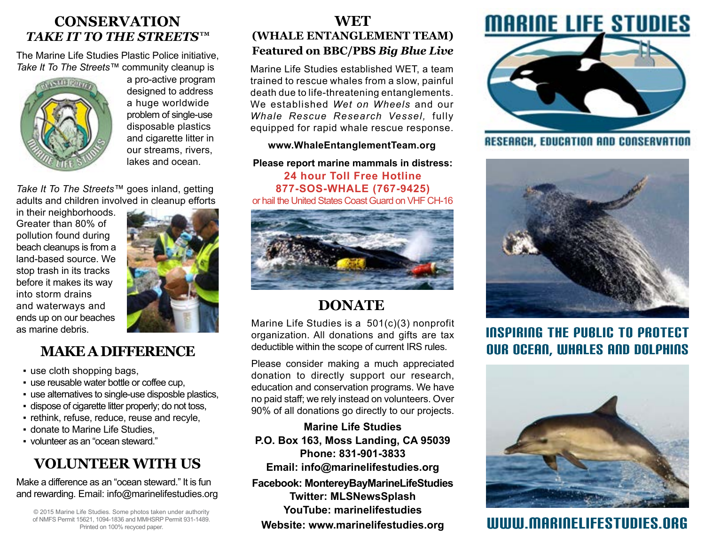### **CONSERVATION** *TAKE IT TO THE STREETS™*

The Marine Life Studies Plastic Police initiative, *Take It To The Streets™* community cleanup is



a pro-active program designed to address a huge worldwide problem of single-use disposable plastics and cigarette litter in our streams, rivers, lakes and ocean.

*Take It To The Streets™* goes inland, getting adults and children involved in cleanup efforts

in their neighborhoods. Greater than 80% of pollution found during beach cleanups is from a land-based source. We stop trash in its tracks before it makes its way into storm drains and waterways and ends up on our beaches as marine debris.



# **MAKE A DIFFERENCE**

- use cloth shopping bags,
- use reusable water bottle or coffee cup,
- use alternatives to single-use disposble plastics,
- dispose of cigarette litter properly; do not toss,
- rethink, refuse, reduce, reuse and recyle,
- **.** donate to Marine Life Studies.
- volunteer as an "ocean steward."

# **VOLUNTEER WITH US**

Make a difference as an "ocean steward." It is fun and rewarding. Email: info@marinelifestudies.org

© 2015 Marine Life Studies. Some photos taken under authority of NMFS Permit 15621, 1094-1836 and MMHSRP Permit 931-1489. Printed on 100% recyced paper.

#### **WET (WHALE ENTANGLEMENT TEAM) Featured on BBC/PBS** *Big Blue Live*

Marine Life Studies established WET, a team trained to rescue whales from a slow, painful death due to life-threatening entanglements. We established *Wet on Wheels* and our *Whale Rescue Research Vessel,* fully equipped for rapid whale rescue response.

#### **www.WhaleEntanglementTeam.org**

**Please report marine mammals in distress: 24 hour Toll Free Hotline 877-SOS-WHALE (767-9425)** or hail the United States Coast Guard on VHF CH-16



# **DONATE**

Marine Life Studies is a 501(c)(3) nonprofit organization. All donations and gifts are tax deductible within the scope of current IRS rules.

Please consider making a much appreciated donation to directly support our research, education and conservation programs. We have no paid staff; we rely instead on volunteers. Over 90% of all donations go directly to our projects.

**Marine Life Studies P.O. Box 163, Moss Landing, CA 95039 Phone: 831-901-3833 Email: info@marinelifestudies.org**

**Facebook: [MontereyBayMarineLifeStudies](https://www.facebook.com/MontereyBayMarineLifeStudies) Twitter: [MLSNewsSplash](https://twitter.com/MLSNewsSplash) YouTube: [marinelifestudies](http://www.youtube.com/user/marinelifestudies)**



**RESEARCH, EDUCATION AND CONSERVATION** 



Inspiring The public To proTecT OUR OCEAN, whales AND dolphins



# Website: www.marinelifestudies.org WULL**ULLING WEBSTUDIES.ORG**